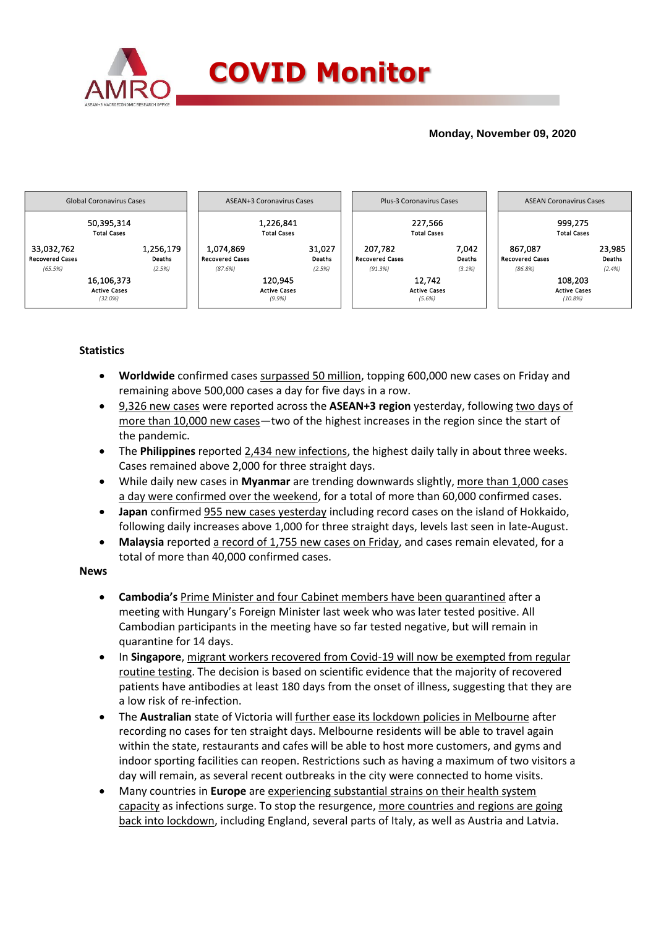

### **Monday, November 09, 2020**



## **Statistics**

- **Worldwide** confirmed cases surpassed 50 million, topping 600,000 new cases on Friday and remaining above 500,000 cases a day for five days in a row.
- 9,326 new cases were reported across the **ASEAN+3 region** yesterday, following two days of more than 10,000 new cases—two of the highest increases in the region since the start of the pandemic.
- The **Philippines** reported 2,434 new infections, the highest daily tally in about three weeks. Cases remained above 2,000 for three straight days.
- While daily new cases in **Myanmar** are trending downwards slightly, more than 1,000 cases a day were confirmed over the weekend, for a total of more than 60,000 confirmed cases.
- **Japan** confirmed 955 new cases yesterday including record cases on the island of Hokkaido, following daily increases above 1,000 for three straight days, levels last seen in late-August.
- **Malaysia** reported a record of 1,755 new cases on Friday, and cases remain elevated, for a total of more than 40,000 confirmed cases.

#### **News**

- **Cambodia's** Prime Minister and four Cabinet members have been quarantined after a meeting with Hungary's Foreign Minister last week who was later tested positive. All Cambodian participants in the meeting have so far tested negative, but will remain in quarantine for 14 days.
- In **Singapore**, migrant workers recovered from Covid-19 will now be exempted from regular routine testing. The decision is based on scientific evidence that the majority of recovered patients have antibodies at least 180 days from the onset of illness, suggesting that they are a low risk of re-infection.
- The **Australian** state of Victoria will further ease its lockdown policies in Melbourne after recording no cases for ten straight days. Melbourne residents will be able to travel again within the state, restaurants and cafes will be able to host more customers, and gyms and indoor sporting facilities can reopen. Restrictions such as having a maximum of two visitors a day will remain, as several recent outbreaks in the city were connected to home visits.
- Many countries in **Europe** are experiencing substantial strains on their health system capacity as infections surge. To stop the resurgence, more countries and regions are going back into lockdown, including England, several parts of Italy, as well as Austria and Latvia.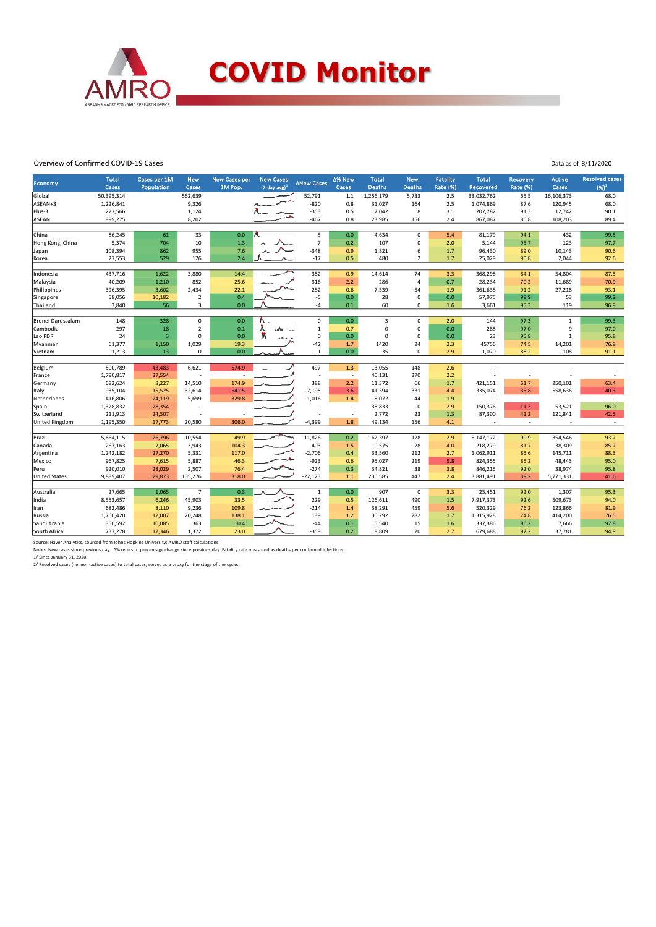

#### Overview of Confirmed COVID-19 Cases

|  |  | Data as of 8/11/2020 |
|--|--|----------------------|
|  |  |                      |

| Economy              | <b>Total</b><br>Cases | Cases per 1M<br>Population | <b>New</b><br>Cases | <b>New Cases per</b><br>1M Pop. | <b>New Cases</b><br>$(7$ -day avg $)^1$ | <b>ANew Cases</b> | Δ% New<br>Cases          | <b>Total</b><br><b>Deaths</b> | <b>New</b><br><b>Deaths</b> | <b>Fatality</b><br><b>Rate (%)</b> | <b>Total</b><br>Recovered | <b>Recovery</b><br><b>Rate (%)</b> | <b>Active</b><br><b>Cases</b> | <b>Resolved cases</b><br>$(96)^2$ |
|----------------------|-----------------------|----------------------------|---------------------|---------------------------------|-----------------------------------------|-------------------|--------------------------|-------------------------------|-----------------------------|------------------------------------|---------------------------|------------------------------------|-------------------------------|-----------------------------------|
| Global               | 50,395,314            |                            | 562,639             |                                 |                                         | 52,791            | $1.1$                    | 1,256,179                     | 5,733                       | 2.5                                | 33,032,762                | 65.5                               | 16,106,373                    | 68.0                              |
| ASEAN+3              | 1,226,841             |                            | 9,326               |                                 |                                         | $-820$            | 0.8                      | 31,027                        | 164                         | 2.5                                | 1,074,869                 | 87.6                               | 120,945                       | 68.0                              |
| Plus-3               | 227,566               |                            | 1,124               |                                 |                                         | $-353$            | 0.5                      | 7,042                         | 8                           | 3.1                                | 207,782                   | 91.3                               | 12,742                        | 90.1                              |
| <b>ASEAN</b>         | 999,275               |                            | 8,202               |                                 |                                         | $-467$            | 0.8                      | 23,985                        | 156                         | 2.4                                | 867,087                   | 86.8                               | 108,203                       | 89.4                              |
|                      |                       |                            |                     |                                 |                                         |                   |                          |                               |                             |                                    |                           |                                    |                               |                                   |
| China                | 86,245                | 61                         | 33                  | 0.0                             |                                         | 5                 | 0.0                      | 4,634                         | $\mathbf 0$                 | 5.4                                | 81,179                    | 94.1                               | 432                           | 99.5                              |
| Hong Kong, China     | 5,374                 | 704                        | 10                  | 1.3                             |                                         | $\overline{7}$    | 0.2                      | 107                           | $\mathsf 0$                 | 2.0                                | 5,144                     | 95.7                               | 123                           | 97.7                              |
| Japan                | 108,394               | 862                        | 955                 | 7.6                             |                                         | $-348$            | 0.9                      | 1,821                         | 6                           | 1.7                                | 96,430                    | 89.0                               | 10,143                        | 90.6                              |
| Korea                | 27,553                | 529                        | 126                 | 2.4                             |                                         | $-17$             | 0.5                      | 480                           | $\overline{2}$              | 1.7                                | 25,029                    | 90.8                               | 2,044                         | 92.6                              |
|                      |                       |                            |                     |                                 |                                         |                   |                          |                               |                             |                                    |                           |                                    |                               |                                   |
| Indonesia            | 437,716               | 1,622                      | 3.880               | 14.4                            |                                         | $-382$            | 0.9                      | 14,614                        | 74                          | 3.3                                | 368,298                   | 84.1                               | 54,804                        | 87.5                              |
| Malaysia             | 40,209                | 1,210                      | 852                 | 25.6                            |                                         | $-316$            | 2.2                      | 286                           | $\overline{a}$              | 0.7                                | 28,234                    | 70.2                               | 11,689                        | 70.9                              |
| Philippines          | 396,395               | 3,602                      | 2,434               | 22.1                            |                                         | 282               | 0.6                      | 7,539                         | 54                          | 1.9                                | 361,638                   | 91.2                               | 27,218                        | 93.1                              |
| Singapore            | 58,056                | 10,182                     | $\overline{2}$      | 0.4                             |                                         | $-5$              | 0.0                      | 28                            | $\mathbf 0$                 | 0.0                                | 57,975                    | 99.9                               | 53                            | 99.9                              |
| Thailand             | 3,840                 | 56                         | 3                   | 0.0                             |                                         | $-4$              | 0.1                      | 60                            | 0                           | 1.6                                | 3,661                     | 95.3                               | 119                           | 96.9                              |
|                      |                       |                            |                     |                                 |                                         |                   |                          |                               |                             |                                    |                           |                                    |                               |                                   |
| Brunei Darussalam    | 148                   | 328                        | 0                   | 0.0                             |                                         | $\pmb{0}$         | 0.0                      | 3                             | $\mathsf 0$                 | 2.0                                | 144                       | 97.3                               | $\mathbf 1$                   | 99.3                              |
| Cambodia             | 297                   | 18                         | $\overline{2}$      | 0.1                             |                                         | $\mathbf 1$       | 0.7                      | $\Omega$                      | $\mathbf 0$                 | 0.0                                | 288                       | 97.0                               | 9                             | 97.0                              |
| Lao PDR              | 24                    | $\overline{3}$             | $\Omega$            | 0.0                             |                                         | $\pmb{0}$         | 0.0                      | $\Omega$                      | $\mathbf 0$                 | 0.0                                | 23                        | 95.8                               | $\mathbf{1}$                  | 95.8                              |
| Myanmar              | 61,377                | 1,150                      | 1,029               | 19.3                            |                                         | $-42$             | 1.7                      | 1420                          | 24                          | 2.3                                | 45756                     | 74.5                               | 14,201                        | 76.9                              |
| Vietnam              | 1,213                 | 13                         | $\Omega$            | 0.0                             |                                         | $-1$              | 0.0                      | 35                            | $\mathbf 0$                 | 2.9                                | 1,070                     | 88.2                               | 108                           | 91.1                              |
| Belgium              | 500,789               | 43,483                     | 6,621               | 574.9                           |                                         | 497               | 1.3                      | 13,055                        | 148                         | 2.6                                | ٠                         | $\overline{a}$                     |                               | $\overline{\phantom{a}}$          |
| France               | 1,790,817             | 27,554                     |                     |                                 |                                         |                   | $\overline{\phantom{a}}$ | 40,131                        | 270                         | 2.2                                |                           | ÷,                                 |                               |                                   |
| Germany              | 682,624               | 8,227                      | 14,510              | 174.9                           |                                         | 388               | 2.2                      | 11,372                        | 66                          | 1.7                                | 421,151                   | 61.7                               | 250,101                       | 63.4                              |
| Italy                | 935,104               | 15,525                     | 32,614              | 541.5                           |                                         | $-7,195$          | 3.6                      | 41,394                        | 331                         | 4.4                                | 335,074                   | 35.8                               | 558,636                       | 40.3                              |
| Netherlands          | 416,806               | 24,119                     | 5,699               | 329.8                           |                                         | $-1,016$          | 1.4                      | 8,072                         | 44                          | 1.9                                | J.                        | $\sim$                             |                               | $\sim$                            |
| Spain                | 1,328,832             | 28,354                     |                     |                                 |                                         |                   |                          | 38,833                        | $\mathsf 0$                 | 2.9                                | 150,376                   | 11.3                               | 53,521                        | 96.0                              |
| Switzerland          | 211,913               | 24,507                     |                     |                                 |                                         |                   | $\overline{\phantom{a}}$ | 2,772                         | 23                          | 1.3                                | 87,300                    | 41.2                               | 121,841                       | 42.5                              |
| United Kingdom       | 1,195,350             | 17,773                     | 20,580              | 306.0                           |                                         | $-4,399$          | 1.8                      | 49,134                        | 156                         | 4.1                                | ٠                         | $\sim$                             |                               | $\overline{\phantom{a}}$          |
|                      |                       |                            |                     |                                 |                                         |                   |                          |                               |                             |                                    |                           |                                    |                               |                                   |
| Brazil               | 5,664,115             | 26,796                     | 10,554              | 49.9                            | m                                       | $-11,826$         | 0.2                      | 162,397                       | 128                         | 2.9                                | 5,147,172                 | 90.9                               | 354,546                       | 93.7                              |
| Canada               | 267,163               | 7,065                      | 3,943               | 104.3                           |                                         | $-403$            | 1.5                      | 10,575                        | 28                          | 4.0                                | 218,279                   | 81.7                               | 38,309                        | 85.7                              |
| Argentina            | 1,242,182             | 27,270                     | 5,331               | 117.0                           |                                         | $-2,706$          | 0.4                      | 33,560                        | 212                         | 2.7                                | 1,062,911                 | 85.6                               | 145,711                       | 88.3                              |
| Mexico               | 967,825               | 7,615                      | 5,887               | 46.3                            |                                         | $-923$            | 0.6                      | 95,027                        | 219                         | 9.8                                | 824,355                   | 85.2                               | 48,443                        | 95.0                              |
| Peru                 | 920,010               | 28,029                     | 2,507               | 76.4                            |                                         | $-274$            | 0.3                      | 34,821                        | 38                          | 3.8                                | 846,215                   | 92.0                               | 38,974                        | 95.8                              |
| <b>United States</b> | 9,889,407             | 29,873                     | 105,276             | 318.0                           |                                         | $-22,123$         | $1.1$                    | 236,585                       | 447                         | 2.4                                | 3,881,491                 | 39.2                               | 5,771,331                     | 41.6                              |
|                      |                       |                            |                     |                                 |                                         |                   |                          |                               |                             |                                    |                           |                                    |                               |                                   |
| Australia            | 27,665                | 1,065                      | $\overline{7}$      | 0.3                             |                                         | $\mathbf{1}$      | 0.0                      | 907                           | $\mathbf 0$                 | 3.3                                | 25,451                    | 92.0                               | 1,307                         | 95.3                              |
| India                | 8,553,657             | 6,246                      | 45,903              | 33.5                            |                                         | 229               | 0.5                      | 126,611                       | 490                         | 1.5                                | 7,917,373                 | 92.6                               | 509,673                       | 94.0                              |
| Iran                 | 682,486               | 8,110                      | 9,236               | 109.8                           |                                         | $-214$            | 1.4                      | 38,291                        | 459                         | 5.6                                | 520,329                   | 76.2                               | 123,866                       | 81.9                              |
| Russia               | 1,760,420             | 12,007                     | 20,248              | 138.1                           |                                         | 139               | 1.2                      | 30,292                        | 282                         | 1.7                                | 1,315,928                 | 74.8                               | 414,200                       | 76.5                              |
| Saudi Arabia         | 350,592               | 10,085                     | 363                 | 10.4                            |                                         | $-44$             | 0.1                      | 5,540                         | 15                          | 1.6                                | 337,386                   | 96.2                               | 7,666                         | 97.8                              |
| South Africa         | 737,278               | 12,346                     | 1,372               | 23.0                            |                                         | $-359$            | 0.2                      | 19,809                        | 20                          | 2.7                                | 679,688                   | 92.2                               | 37,781                        | 94.9                              |
|                      |                       |                            |                     |                                 |                                         |                   |                          |                               |                             |                                    |                           |                                    |                               |                                   |

Source: Haver Analytics, sourced from Johns Hopkins University; AMRO staff calculations.<br>Notes: New cases since previous day. Δ% refers to percentage change since previous day. Fatality rate measured as deaths per confirm